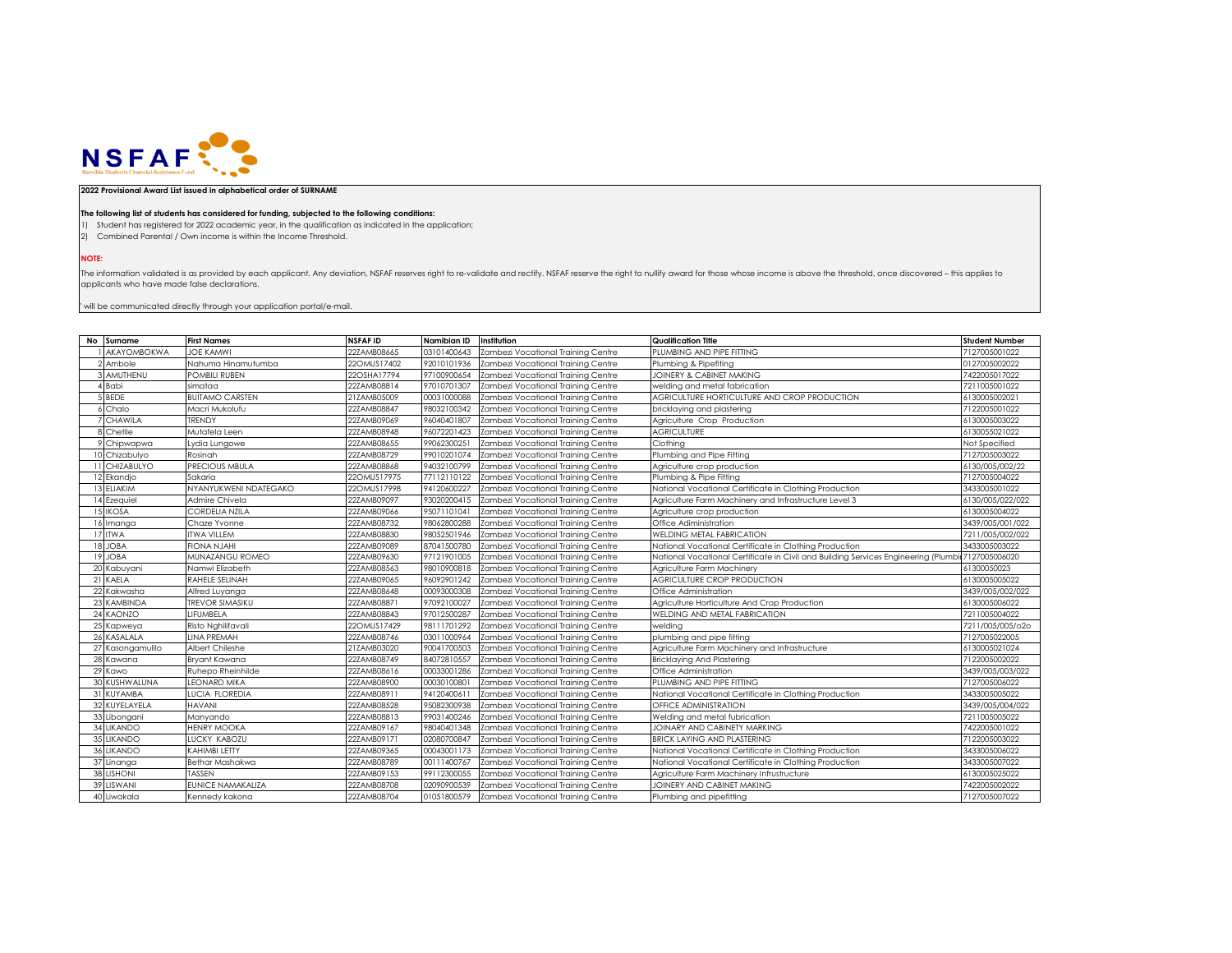

## **2022 Provisional Award List issued in alphabetical order of SURNAME**

## **The following list of students has considered for funding, subjected to the following conditions:**

1) Student has registered for 2022 academic year, in the qualification as indicated in the application;

2) Combined Parental / Own income is within the Income Threshold.

**NOTE:**

The information validated is as provided by each applicant. Any deviation, NSFAF reserves right to re-validate and rectify. NSFAF reserve the right to nullify award for those whose income is above the threshold, once disco applicants who have made false declarations.

 $"$  will be communicated directly through your application portal/e-mail.

| No Surname         | <b>First Names</b>       | <b>NSFAF ID</b> | <b>Namibian ID</b> | Institution                        | <b>Qualification Title</b>                                                         | <b>Student Number</b> |
|--------------------|--------------------------|-----------------|--------------------|------------------------------------|------------------------------------------------------------------------------------|-----------------------|
| <b>AKAYOMBOKWA</b> | <b>JOE KAMWI</b>         | 22ZAMB08665     | 03101400643        | Zambezi Vocational Training Centre | PLUMBING AND PIPE FITTING                                                          | 7127005001022         |
| 2 Ambole           | Nahuma Hinamutumba       | 22OMUS17402     | 92010101936        | Zambezi Vocational Training Centre | Plumbing & Pipefiting                                                              | 0127005002022         |
| 3 AMUTHENU         | POMBILI RUBEN            | 22OSHA17794     | 97100900654        | Zambezi Vocational Training Centre | <b>JOINERY &amp; CABINET MAKING</b>                                                | 7422005017022         |
| 4 Babi             | simataa                  | 22ZAMB08814     | 97010701307        | Zambezi Vocational Training Centre | welding and metal fabrication                                                      | 7211005001022         |
| 5 BEDE             | <b>BUITAMO CARSTEN</b>   | 21ZAMB05009     | 00031000088        | Zambezi Vocational Training Centre | AGRICULTURE HORTICULTURE AND CROP PRODUCTION                                       | 6130005002021         |
| 6 Chalo            | Macri Mukolufu           | 22ZAMB08847     | 98032100342        | Zambezi Vocational Training Centre | bricklaying and plastering                                                         | 7122005001022         |
| 7 CHAWILA          | TRENDY                   | 22ZAMB09069     | 96040401807        | Zambezi Vocational Training Centre | Agriculture Crop Production                                                        | 6130005003022         |
| 8 Chetile          | Mutafela Leen            | 22ZAMB08948     | 96072201423        | Zambezi Vocational Training Centre | <b>AGRICULTURE</b>                                                                 | 6130055021022         |
| 9 Chipwapwa        | Lydia Lungowe            | 22ZAMB08655     | 99062300251        | Zambezi Vocational Training Centre | Clothina                                                                           | Not Specified         |
| 10 Chizabulyo      | Rosinah                  | 22ZAMB08729     | 99010201074        | Zambezi Vocational Training Centre | Plumbing and Pipe Fitting                                                          | 7127005003022         |
| 11 CHIZABULYO      | PRECIOUS MBULA           | 22ZAMB08868     | 94032100799        | Zambezi Vocational Training Centre | Agriculture crop production                                                        | 6130/005/002/22       |
| 12 Ekandjo         | Sakaria                  | 22OMUS17975     | 77112110122        | Zambezi Vocational Training Centre | Plumbing & Pipe Fitting                                                            | 7127005004022         |
| 13 ELIAKIM         | NYANYUKWENI NDATEGAKO    | 22OMUS17998     | 94120600227        | Zambezi Vocational Training Centre | National Vocational Certificate in Clothing Production                             | 3433005001022         |
| 14 Ezequiel        | Admire Chivela           | 22ZAMB09097     | 93020200415        | Zambezi Vocational Training Centre | Agriculture Farm Machinery and Infrastructure Level 3                              | 6130/005/022/022      |
| 15 IKOSA           | <b>CORDELIA NZILA</b>    | 22ZAMB09066     | 95071101041        | Zambezi Vocational Training Centre | Agriculture crop production                                                        | 6130005004022         |
| 16 Imanga          | Chaze Yvonne             | 22ZAMB08732     | 98062800288        | Zambezi Vocational Training Centre | Office Adiministration                                                             | 3439/005/001/022      |
| 17 ITWA            | <b>TWA VILLEM</b>        | 22ZAMB08830     | 98052501946        | Zambezi Vocational Training Centre | <b>WELDING METAL FABRICATION</b>                                                   | 7211/005/002/022      |
| 18 JOBA            | <b>IHALU AUOI</b>        | 22ZAMB09089     | 87041500780        | Zambezi Vocational Training Centre | National Vocational Certificate in Clothing Production                             | 3433005003022         |
| 19 JOBA            | <b>MUNAZANGU ROMEO</b>   | 22ZAMB09630     | 97121901005        | Zambezi Vocational Training Centre | National Vocational Certificate in Civil and Building Services Engineering (Plumbi | 7127005006020         |
| 20 Kabuyani        | Namwi Elizabeth          | 22ZAMB08563     | 98010900818        | Zambezi Vocational Training Centre | Agriculture Farm Machinery                                                         | 61300050023           |
| 21 KAELA           | RAHELE SELINAH           | 22ZAMB09065     | 96092901242        | Zambezi Vocational Training Centre | AGRICULTURE CROP PRODUCTION                                                        | 6130005005022         |
| 22 Kakwasha        | Alfred Luyanga           | 22ZAMB08648     | 00093000308        | Zambezi Vocational Training Centre | Office Administration                                                              | 3439/005/002/022      |
| 23 KAMBINDA        | <b>TREVOR SIMASIKU</b>   | 22ZAMB08871     | 97092100027        | Zambezi Vocational Training Centre | Agriculture Horticulture And Crop Production                                       | 6130005006022         |
| 24 KAONZO          | LIFUMBELA                | 22ZAMB08843     | 97012500287        | Zambezi Vocational Training Centre | <b>WELDING AND METAL FABRICATION</b>                                               | 7211005004022         |
| 25 Kapweya         | Risto Nghilifavali       | 22OMUS17429     | 98111701292        | Zambezi Vocational Training Centre | weldina                                                                            | 7211/005/005/o2o      |
| 26 KASALALA        | <b>LINA PREMAH</b>       | 22ZAMB08746     | 03011000964        | Zambezi Vocational Training Centre | plumbing and pipe fitting                                                          | 7127005022005         |
| 27 Kasongamulilo   | Albert Chileshe          | 21ZAMB03020     | 90041700503        | Zambezi Vocational Training Centre | Agriculture Farm Machinery and Infrastructure                                      | 6130005021024         |
| 28 Kawana          | Bryant Kawana            | 22ZAMB08749     | 84072810557        | Zambezi Vocational Training Centre | <b>Bricklaying And Plastering</b>                                                  | 7122005002022         |
| 29 Kawo            | Ruhepo Rheinhilde        | 22ZAMB08616     | 00033001286        | Zambezi Vocational Training Centre | Office Administration                                                              | 3439/005/003/022      |
| 30 KUSHWALUNA      | <b>LEONARD MIKA</b>      | 22ZAMB08900     | 00030100801        | Zambezi Vocational Training Centre | PLUMBING AND PIPE FITTING                                                          | 7127005006022         |
| 31 KUYAMBA         | LUCIA FLOREDIA           | 22ZAMB08911     | 9412040061         | Zambezi Vocational Training Centre | National Vocational Certificate in Clothing Production                             | 3433005005022         |
| 32 KUYELAYELA      | HAVANI                   | 22ZAMB08528     | 95082300938        | Zambezi Vocational Training Centre | <b>OFFICE ADMINISTRATION</b>                                                       | 3439/005/004/022      |
| 33 Libongani       | Manvando                 | 22ZAMB08813     | 99031400246        | Zambezi Vocational Training Centre | Welding and metal fubrication                                                      | 7211005005022         |
| 34 LIKANDO         | <b>HENRY MOOKA</b>       | 22ZAMB09167     | 98040401348        | Zambezi Vocational Training Centre | JOINARY AND CABINETY MARKING                                                       | 7422005001022         |
| 35 LIKANDO         | LUCKY KABOZU             | 22ZAMB09171     | 02080700847        | Zambezi Vocational Training Centre | <b>BRICK LAYING AND PLASTERING</b>                                                 | 7122005003022         |
| 36 LIKANDO         | KAHIMBI LETTY            | 22ZAMB09365     | 00043001173        | Zambezi Vocational Training Centre | National Vocational Certificate in Clothing Production                             | 3433005006022         |
| 37 Linanga         | Bethar Mashakwa          | 22ZAMB08789     | 00111400767        | Zambezi Vocational Training Centre | National Vocational Certificate in Clothing Production                             | 3433005007022         |
| 38 LISHONI         | TASSEN                   | 22ZAMB09153     | 99112300055        | Zambezi Vocational Training Centre | Agriculture Farm Machinery Infrustructure                                          | 6130005025022         |
| 39 LISWANI         | <b>EUNICE NAMAKALIZA</b> | 22ZAMB08708     | 02090900539        | Zambezi Vocational Training Centre | JOINERY AND CABINET MAKING                                                         | 7422005002022         |
| 40 Liwakala        | Kennedy kakona           | 22ZAMB08704     | 01051800579        | Zambezi Vocational Training Centre | Plumbing and pipefitting                                                           | 7127005007022         |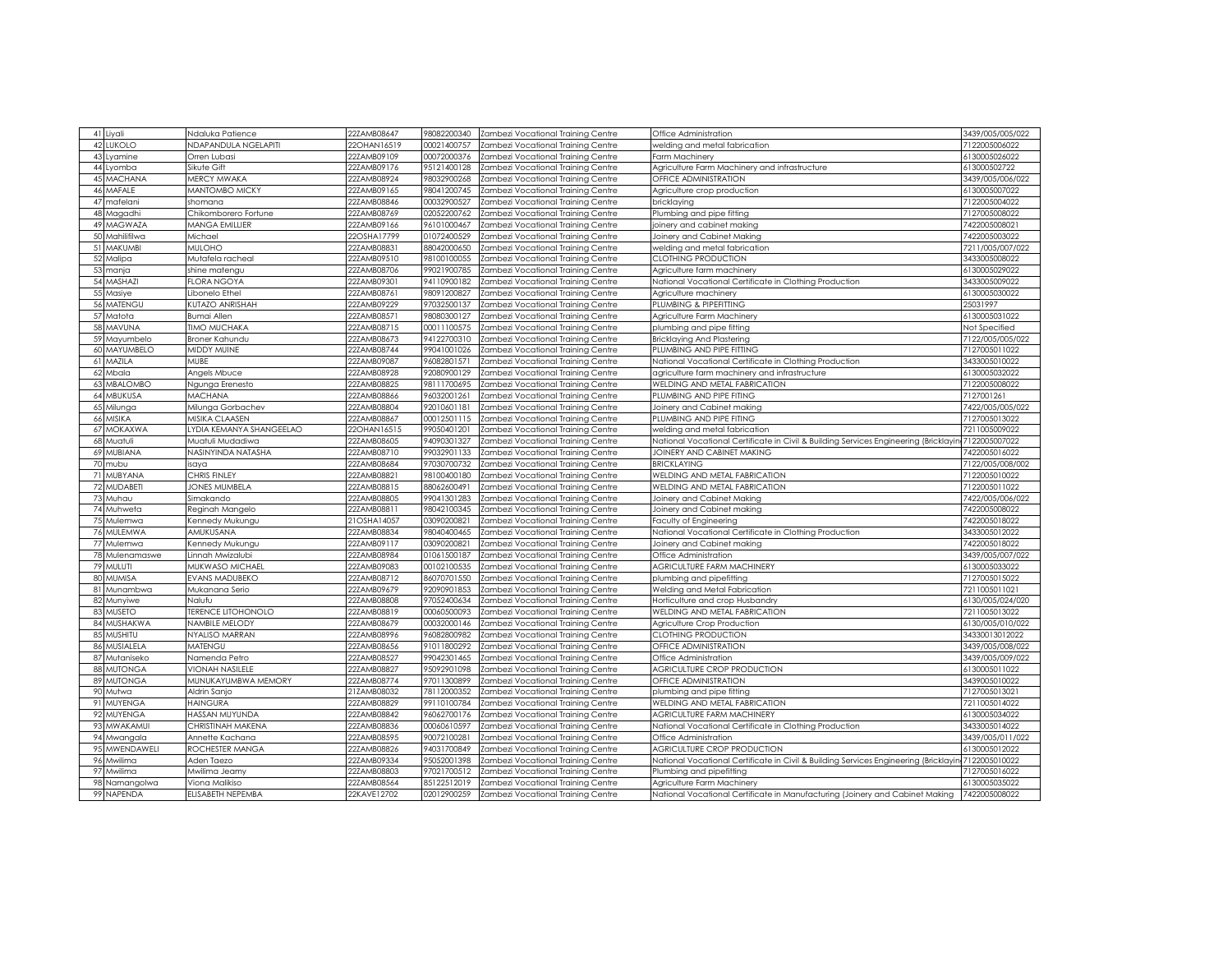|    | 41 Liyali        | Ndaluka Patience                | 22ZAMB08647 | 98082200340 | Zambezi Vocational Training Centre | Office Administration                                                                              | 3439/005/005/022 |
|----|------------------|---------------------------------|-------------|-------------|------------------------------------|----------------------------------------------------------------------------------------------------|------------------|
|    | 42 LUKOLO        | NDAPANDULA NGELAPITI            | 22OHAN16519 | 00021400757 |                                    |                                                                                                    | 7122005006022    |
|    |                  |                                 |             |             | Zambezi Vocational Training Centre | welding and metal fabrication                                                                      |                  |
|    | 43 Lyamine       | Orren Lubasi                    | 22ZAMB09109 | 00072000376 | Zambezi Vocational Training Centre | Farm Machinery                                                                                     | 6130005026022    |
|    | 44 Lyomba        | Sikute Gift                     | 22ZAMB09176 | 95121400128 | Zambezi Vocational Training Centre | Agriculture Farm Machinery and infrastructure                                                      | 613000502722     |
|    | 45 MACHANA       | <b>MERCY MWAKA</b>              | 22ZAMB08924 | 98032900268 | Zambezi Vocational Training Centre | OFFICE ADMINISTRATION                                                                              | 3439/005/006/022 |
|    | 46 MAFALE        | <b>MANTOMBO MICKY</b>           | 22ZAMB09165 | 98041200745 | Zambezi Vocational Training Centre | Agriculture crop production                                                                        | 6130005007022    |
|    | 47 mafelani      | shomana                         | 22ZAMB08846 | 00032900527 | Zambezi Vocational Training Centre | bricklaying                                                                                        | 7122005004022    |
|    | 48 Magadhi       | Chikomborero Fortune            | 22ZAMB08769 | 02052200762 | Zambezi Vocational Training Centre | Plumbing and pipe fitting                                                                          | 7127005008022    |
|    | 49 MAGWAZA       | <b>MANGA EMILLIER</b>           | 22ZAMB09166 | 96101000467 | Zambezi Vocational Training Centre | joinery and cabinet making                                                                         | 7422005008021    |
| 50 | Mahilifilwa      | Michael                         | 22OSHA17799 | 01072400529 | Zambezi Vocational Training Centre | Joinery and Cabinet Making                                                                         | 7422005003022    |
| 51 | <b>MAKUMBI</b>   | <b>MULOHO</b>                   | 22ZAMB08831 | 88042000650 | Zambezi Vocational Training Centre | welding and metal fabrication                                                                      | 7211/005/007/022 |
| 52 | Malipa           | Mutafela racheal                | 22ZAMB09510 | 98100100055 | Zambezi Vocational Training Centre | CLOTHING PRODUCTION                                                                                | 3433005008022    |
|    | 53 manja         | shine matengu                   | 22ZAMB08706 | 99021900785 | Zambezi Vocational Training Centre | Agriculture farm machinery                                                                         | 6130005029022    |
|    | 54 MASHAZI       | <b>FLORA NGOYA</b>              | 22ZAMB09301 | 94110900182 | Zambezi Vocational Training Centre | National Vocational Certificate in Clothing Production                                             | 3433005009022    |
|    | 55 Masiye        | Libonelo Ethel                  | 22ZAMB08761 | 98091200827 | Zambezi Vocational Training Centre | Agriculture machinery                                                                              | 6130005030022    |
|    | 56 MATENGU       | KUTAZO ANRISHAH                 | 22ZAMB09229 | 97032500137 | Zambezi Vocational Training Centre | PLUMBING & PIPEFITTING                                                                             | 25031997         |
|    | 57 Matota        | Bumai Allen                     | 22ZAMB08571 | 98080300127 | Zambezi Vocational Training Centre | Agriculture Farm Machinery                                                                         | 6130005031022    |
|    | 58 MAVUNA        | <b>TIMO MUCHAKA</b>             | 22ZAMB08715 | 00011100575 | Zambezi Vocational Training Centre | plumbing and pipe fitting                                                                          | Not Specified    |
|    | 59 Mayumbelo     | Broner Kahundu                  | 22ZAMB08673 | 94122700310 | Zambezi Vocational Training Centre | Bricklaying And Plastering                                                                         | 7122/005/005/022 |
|    | 60 MAYUMBELO     | MIDDY MUINE                     | 22ZAMB08744 | 99041001026 | Zambezi Vocational Training Centre | PLUMBING AND PIPE FITTING                                                                          | 7127005011022    |
|    | 61 MAZILA        | <b>MUBE</b>                     | 22ZAMB09087 | 96082801571 | Zambezi Vocational Training Centre | National Vocational Certificate in Clothing Production                                             | 3433005010022    |
|    | 62 Mbala         | Angels Mbuce                    | 22ZAMB08928 | 92080900129 | Zambezi Vocational Training Centre | agriculture farm machinery and infrastructure                                                      | 6130005032022    |
| 63 | MBALOMBO         | Ngunga Erenesto                 | 22ZAMB08825 | 98111700695 | Zambezi Vocational Training Centre | WELDING AND METAL FABRICATION                                                                      | 7122005008022    |
|    | 64 MBUKUSA       | <b>MACHANA</b>                  | 22ZAMB08866 | 96032001261 | Zambezi Vocational Training Centre | PLUMBING AND PIPE FITING                                                                           | 7127001261       |
|    |                  |                                 | 22ZAMB08804 | 92010601181 |                                    |                                                                                                    | 7422/005/005/022 |
|    | 65 Milunga       | Milunga Gorbachev               |             |             | Zambezi Vocational Training Centre | Joinery and Cabinet making                                                                         |                  |
|    | 66 MISIKA        | MISIKA CLAASEN                  | 22ZAMB08867 | 00012501115 | Zambezi Vocational Training Centre | PLUMBING AND PIPE FITING                                                                           | 7127005013022    |
| 67 | <b>MOKAXWA</b>   | YDIA KEMANYA SHANGEELAO         | 22OHAN16515 | 99050401201 | Zambezi Vocational Training Centre | welding and metal fabrication                                                                      | 7211005009022    |
|    | 68 Muatuli       | Muatuli Mudadiwa                | 22ZAMB08605 | 94090301327 | Zambezi Vocational Training Centre | National Vocational Certificate in Civil & Building Services Engineering (Bricklayin               | 7122005007022    |
|    | 69 MUBIANA       | NASINYINDA NATASHA              | 22ZAMB08710 | 99032901133 | Zambezi Vocational Training Centre | JOINERY AND CABINET MAKING                                                                         | 7422005016022    |
|    | 70 mubu          | saya                            | 22ZAMB08684 | 97030700732 | Zambezi Vocational Training Centre | <b>BRICKLAYING</b>                                                                                 | 7122/005/008/002 |
| 71 | <b>MUBYANA</b>   | CHRIS FINLEY                    | 22ZAMB08821 | 98100400180 | Zambezi Vocational Training Centre | WELDING AND METAL FABRICATION                                                                      | 7122005010022    |
|    | 72 MUDABETI      | JONES MUMBELA                   | 22ZAMB08815 | 88062600491 | Zambezi Vocational Trainina Centre | WELDING AND METAL FABRICATION                                                                      | 7122005011022    |
|    | 73 Muhau         | Simakando                       | 22ZAMB08805 | 99041301283 | Zambezi Vocational Training Centre | Joinery and Cabinet Making                                                                         | 7422/005/006/022 |
|    | 74 Muhweta       | Reginah Mangelo                 | 22ZAMB08811 | 98042100345 | Zambezi Vocational Training Centre | Joinery and Cabinet making                                                                         | 7422005008022    |
|    | 75 Mulemwa       | Kennedy Mukungu                 | 21OSHA14057 | 03090200821 | Zambezi Vocational Training Centre | Faculty of Engineering                                                                             | 7422005018022    |
|    | 76 MULEMWA       | AMUKUSANA                       | 22ZAMB08834 | 98040400465 | Zambezi Vocational Training Centre | National Vocational Certificate in Clothing Production                                             | 3433005012022    |
|    | 77 Mulemwa       | Kennedy Mukungu                 | 22ZAMB09117 | 03090200821 | Zambezi Vocational Training Centre | Joinery and Cabinet making                                                                         | 7422005018022    |
|    | 78 Mulenamaswe   | Linnah Mwizalubi                | 22ZAMB08984 | 01061500187 | Zambezi Vocational Training Centre | Office Administration                                                                              | 3439/005/007/022 |
|    | 79 MULUTI        | <b>MUKWASO MICHAEL</b>          | 22ZAMB09083 | 00102100535 | Zambezi Vocational Training Centre | AGRICULTURE FARM MACHINERY                                                                         | 6130005033022    |
| 80 | <b>MUMISA</b>    | EVANS MADUBEKO                  | 22ZAMB08712 | 86070701550 | Zambezi Vocational Training Centre | plumbing and pipefitting                                                                           | 7127005015022    |
| 81 | Munambwa         | Mukanana Serio                  | 22ZAMB09679 | 92090901853 | Zambezi Vocational Training Centre | Welding and Metal Fabrication                                                                      | 7211005011021    |
| 82 | Munyiwe          | Nalufu                          | 22ZAMB08808 | 97052400634 | Zambezi Vocational Training Centre | Horticulture and crop Husbandry                                                                    | 6130/005/024/020 |
|    | 83 MUSETO        | <b><i>ERENCE LITOHONOLO</i></b> | 22ZAMB08819 | 00060500093 | Zambezi Vocational Training Centre | WELDING AND METAL FABRICATION                                                                      | 7211005013022    |
| 84 | <b>MUSHAKWA</b>  | NAMBILE MELODY                  | 22ZAMB08679 | 00032000146 | Zambezi Vocational Training Centre | Agriculture Crop Production                                                                        | 6130/005/010/022 |
|    | 85 MUSHITU       | NYALISO MARRAN                  | 22ZAMB08996 | 96082800982 | Zambezi Vocational Training Centre | CLOTHING PRODUCTION                                                                                | 34330013012022   |
| 86 | <b>MUSIALELA</b> | MATENGU                         | 22ZAMB08656 | 91011800292 | Zambezi Vocational Training Centre | OFFICE ADMINISTRATION                                                                              | 3439/005/008/022 |
|    | 87 Mutaniseko    | Namenda Petro                   | 22ZAMB08527 | 99042301465 | Zambezi Vocational Training Centre | Office Administration                                                                              | 3439/005/009/022 |
|    | 88 MUTONGA       | <b>VIONAH NASILELE</b>          | 22ZAMB08827 | 95092901098 | Zambezi Vocational Training Centre | AGRICULTURE CROP PRODUCTION                                                                        | 6130005011022    |
|    | 89 MUTONGA       | MUNUKAYUMBWA MEMORY             | 22ZAMB08774 | 97011300899 | Zambezi Vocational Training Centre | OFFICE ADMINISTRATION                                                                              | 3439005010022    |
| 90 | Mutwa            | Aldrin Sanjo                    | 21ZAMB08032 | 78112000352 | Zambezi Vocational Training Centre | plumbing and pipe fitting                                                                          | 7127005013021    |
|    | 91 MUYENGA       | HAINGURA                        | 22ZAMB08829 | 99110100784 | Zambezi Vocational Training Centre | WELDING AND METAL FABRICATION                                                                      | 7211005014022    |
|    | 92 MUYENGA       | HASSAN MUYUNDA                  | 22ZAMB08842 | 96062700176 | Zambezi Vocational Training Centre | AGRICULTURE FARM MACHINERY                                                                         | 6130005034022    |
|    | 93 MWAKAMUI      | CHRISTINAH MAKENA               | 22ZAMB08836 | 00060610597 | Zambezi Vocational Training Centre | National Vocational Certificate in Clothing Production                                             | 3433005014022    |
|    | 94 Mwangala      | Annette Kachana                 | 22ZAMB08595 | 90072100281 | Zambezi Vocational Training Centre | Office Administration                                                                              | 3439/005/011/022 |
|    | 95 MWENDAWELI    | ROCHESTER MANGA                 | 22ZAMB08826 | 94031700849 | Zambezi Vocational Training Centre | AGRICULTURE CROP PRODUCTION                                                                        | 6130005012022    |
|    | 96 Mwilima       | Aden Taezo                      | 22ZAMB09334 | 95052001398 | Zambezi Vocational Training Centre | National Vocational Certificate in Civil & Building Services Engineering (Bricklayin 7122005010022 |                  |
| 97 | Mwilima          | Mwilima Jeamy                   | 22ZAMB08803 | 97021700512 | Zambezi Vocational Training Centre | Plumbing and pipefitting                                                                           | 7127005016022    |
|    |                  | Viona Malikiso                  | 22ZAMB08564 | 85122512019 | Zambezi Vocational Training Centre | Agriculture Farm Machinery                                                                         | 6130005035022    |
|    | 98 Namangolwa    |                                 |             |             |                                    |                                                                                                    |                  |
|    | 99 NAPENDA       | ELISABETH NEPEMBA               | 22KAVE12702 | 02012900259 | Zambezi Vocational Training Centre | National Vocational Certificate in Manufacturing (Joinery and Cabinet Making                       | 7422005008022    |